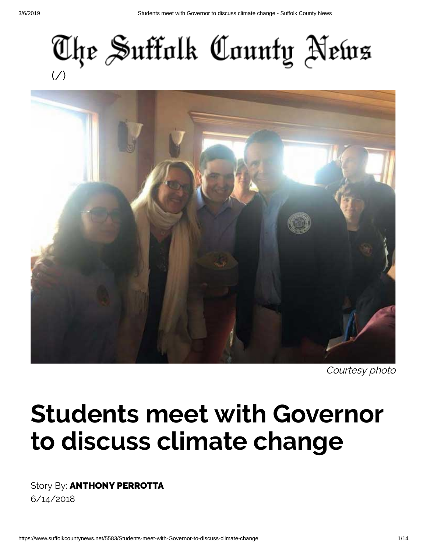



Courtesy photo

## **Students meet with Governor to discuss climate change**

Story By: **ANTHONY PERROTTA** 6/14/2018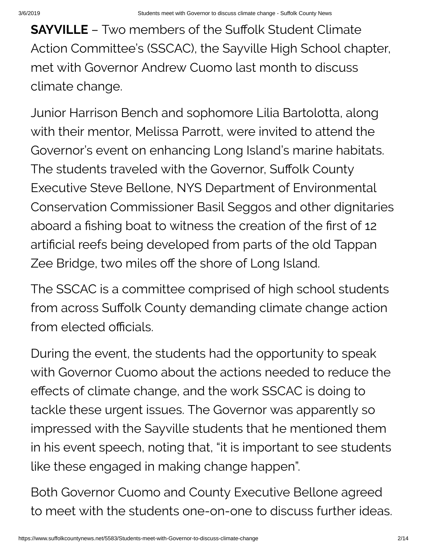**SAYVILLE** – Two members of the Suffolk Student Climate Action Committee's (SSCAC), the Sayville High School chapter, met with Governor Andrew Cuomo last month to discuss climate change.

Junior Harrison Bench and sophomore Lilia Bartolotta, along with their mentor, Melissa Parrott, were invited to attend the Governor's event on enhancing Long Island's marine habitats. The students traveled with the Governor, Suffolk County Executive Steve Bellone, NYS Department of Environmental Conservation Commissioner Basil Seggos and other dignitaries aboard a fishing boat to witness the creation of the first of 12 artificial reefs being developed from parts of the old Tappan Zee Bridge, two miles off the shore of Long Island.

The SSCAC is a committee comprised of high school students from across Suffolk County demanding climate change action from elected officials.

During the event, the students had the opportunity to speak with Governor Cuomo about the actions needed to reduce the effects of climate change, and the work SSCAC is doing to tackle these urgent issues. The Governor was apparently so impressed with the Sayville students that he mentioned them in his event speech, noting that, "it is important to see students like these engaged in making change happen".

Both Governor Cuomo and County Executive Bellone agreed to meet with the students one-on-one to discuss further ideas.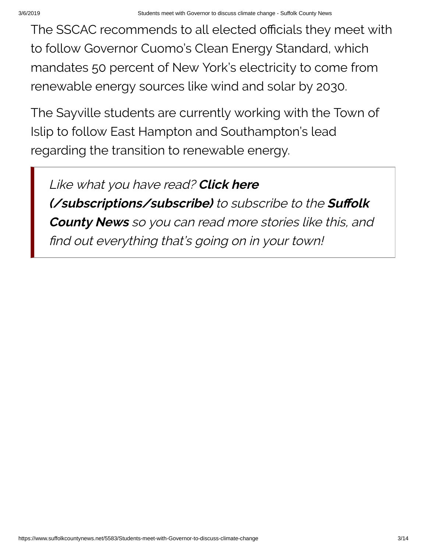The SSCAC recommends to all elected officials they meet with to follow Governor Cuomo's Clean Energy Standard, which mandates 50 percent of New York's electricity to come from renewable energy sources like wind and solar by 2030.

The Sayville students are currently working with the Town of Islip to follow East Hampton and Southampton's lead regarding the transition to renewable energy.

Like what you have read? **Click here [\(/subscriptions/subscribe\)](https://www.suffolkcountynews.net/subscriptions/subscribe)** to subscribe to the Suffolk **County News** so you can read more stories like this, and find out everything that's going on in your town!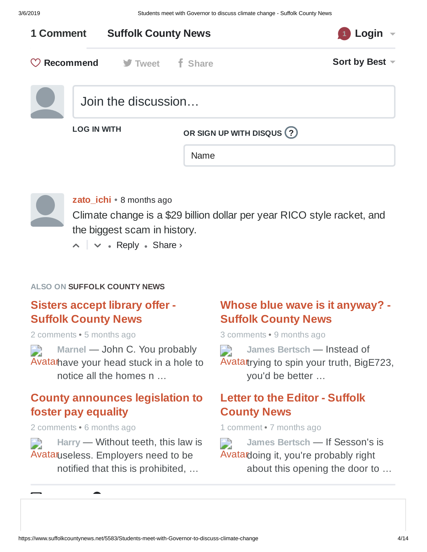

**[zato\\_ichi](https://disqus.com/by/blueskiesnrainbows/)** • 8 [months ago](https://www.suffolkcountynews.net/5583/Students-meet-with-Governor-to-discuss-climate-change#comment-3951837533)

Climate change is a \$29 billion dollar per year RICO style racket, and the biggest scam in history.

 $\sim$   $\sim$   $\sim$  Reply  $\sim$  Share  $\sim$ 

#### **ALSO ON SUFFOLK COUNTY NEWS**

#### **Sisters accept library offer - Suffolk [County](https://disq.us/?url=https%3A%2F%2Fwww.suffolkcountynews.net%2F5979%2FSisters-accept-library-offer&key=KPY8YDxCM8pJs4NPkEcTzg) News**

2 comments • 5 months ago

Avatar have your head stuck in a hole to **Marnel** — John C. You [probably](https://disq.us/?url=https%3A%2F%2Fwww.suffolkcountynews.net%2F5979%2FSisters-accept-library-offer&key=KPY8YDxCM8pJs4NPkEcTzg) notice all the homes n …

#### **County [announces](https://disq.us/?url=https%3A%2F%2Fwww.suffolkcountynews.net%2F5861%2FCounty-announces-legislation-to-foster-pay-equality&key=mFd8073Lw85og1Hon39V2g) legislation to foster pay equality**

2 comments • 6 months ago

[✉](https://disqus.com/) [d](https://publishers.disqus.com/engage?utm_source=suffolkcountynews&utm_medium=Disqus-Footer)

Avataruseless. [Employers](https://disq.us/?url=https%3A%2F%2Fwww.suffolkcountynews.net%2F5861%2FCounty-announces-legislation-to-foster-pay-equality&key=mFd8073Lw85og1Hon39V2g) need to be **Harry** — Without teeth, this law is notified that this is prohibited, …

#### **Whose blue wave is it [anyway?](https://disq.us/?url=https%3A%2F%2Fwww.suffolkcountynews.net%2F5492%2FWhose-blue-wave-is-it-anyway&key=FzZ6jcoaHDL9xmP9xMnU7g) - Suffolk County News**

3 comments • 9 months ago

Avatattrying to spin your truth, [BigE723,](https://disq.us/?url=https%3A%2F%2Fwww.suffolkcountynews.net%2F5492%2FWhose-blue-wave-is-it-anyway&key=FzZ6jcoaHDL9xmP9xMnU7g) **James Bertsch** — Instead of you'd be better …

#### **Letter to the Editor - Suffolk [County](https://disq.us/?url=https%3A%2F%2Fwww.suffolkcountynews.net%2F5790%2FLetter-to-the-Editor&key=ak4m-xRWBRtZbdznK6T3PA) News**

1 comment • 7 months ago

Avatar doing it, you're probably right **James Bertsch** — If [Sesson's](https://disq.us/?url=https%3A%2F%2Fwww.suffolkcountynews.net%2F5790%2FLetter-to-the-Editor&key=ak4m-xRWBRtZbdznK6T3PA) is about this opening the door to …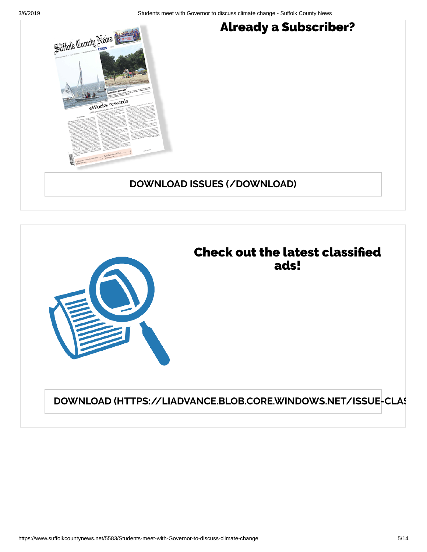3/6/2019 Students meet with Governor to discuss climate change - Suffolk County News





**DOWNLOAD [\(HTTPS://LIADVANCE.BLOB.CORE.WINDOWS.NET/ISSUE-CLAS](https://liadvance.blob.core.windows.net/issue-classifieds/1_%20Classified%203-7.pdf)**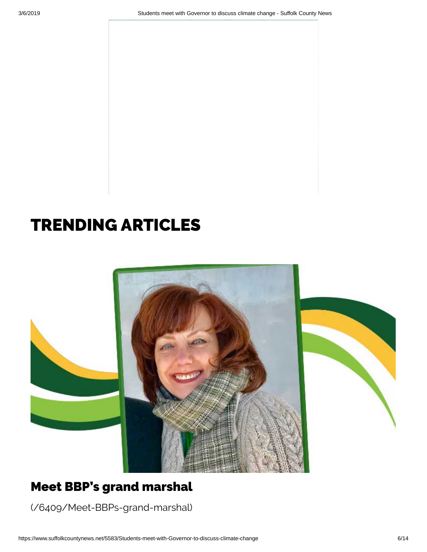## TRENDING ARTICLES



## Meet BBP's grand marshal

[\(/6409/Meet-BBPs-grand-marshal\)](https://www.suffolkcountynews.net/6409/Meet-BBPs-grand-marshal)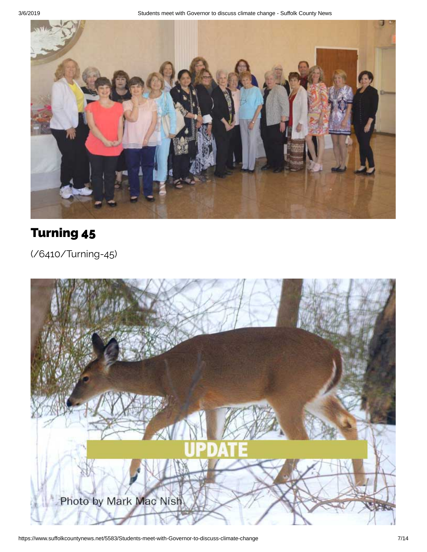

## Turning 45

[\(/6410/Turning-45\)](https://www.suffolkcountynews.net/6410/Turning-45)

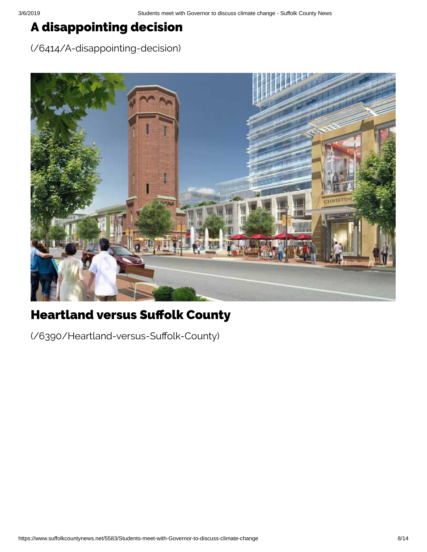## A disappointing decision

[\(/6414/A-disappointing-decision\)](https://www.suffolkcountynews.net/6414/A-disappointing-decision)



## **Heartland versus Suffolk County**

(/6390/Heartland-versus-Suffolk-County)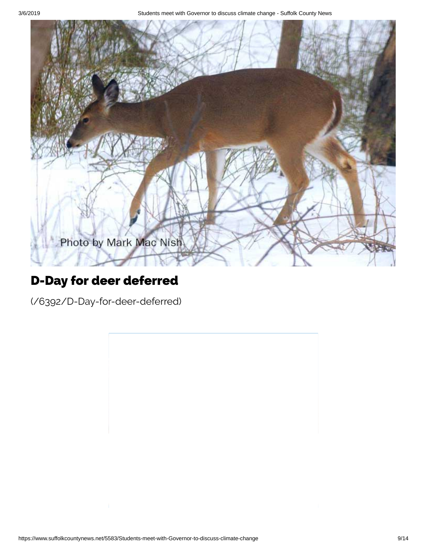3/6/2019 Students meet with Governor to discuss climate change - Suffolk County News



#### D-Day for deer deferred

[\(/6392/D-Day-for-deer-deferred\)](https://www.suffolkcountynews.net/6392/D-Day-for-deer-deferred)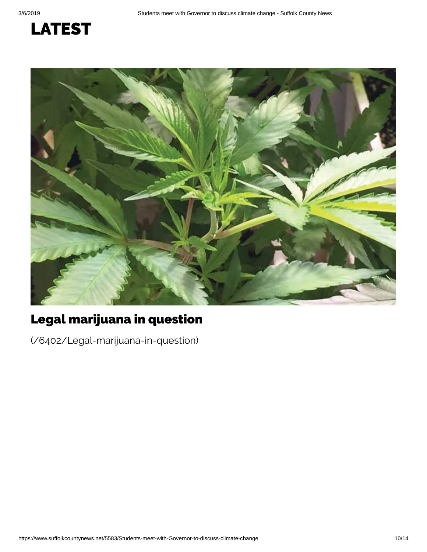## LATEST



## Legal marijuana in question

[\(/6402/Legal-marijuana-in-question\)](https://www.suffolkcountynews.net/6402/Legal-marijuana-in-question)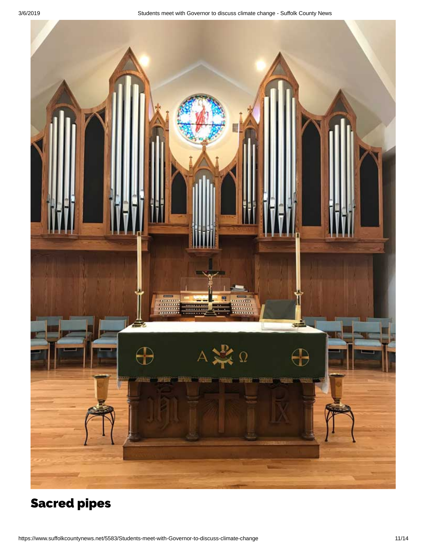

## [Sacred](https://www.suffolkcountynews.net/6405/Sacred-pipes) pipes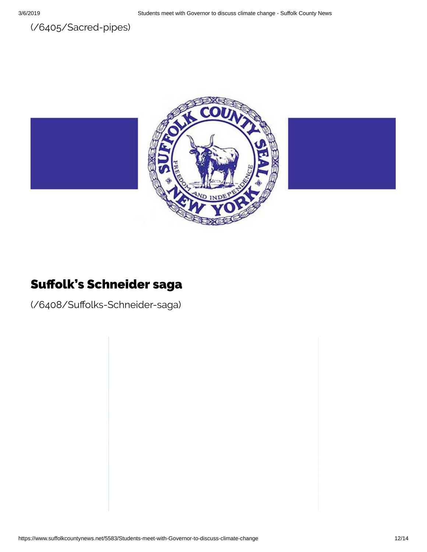



#### Suffolk's Schneider saga

(/6408/Suffolks-Schneider-saga)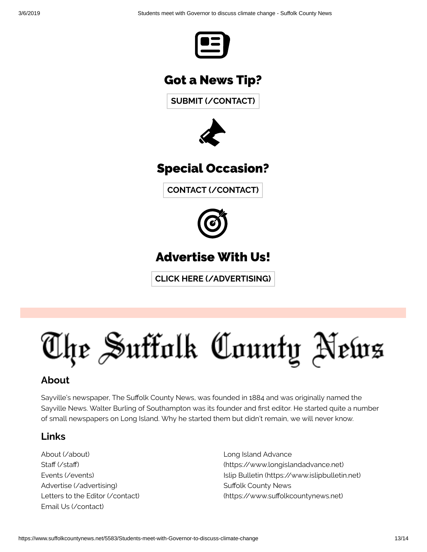

#### Got a News Tip?

**SUBMIT [\(/CONTACT\)](https://www.suffolkcountynews.net/contact)**



#### Specia l Occasion?

**CONTACT [\(/CONTACT\)](https://www.suffolkcountynews.net/contact)**



## Advert ise With Us!

**CLICK HERE [\(/ADVERTISING\)](https://www.suffolkcountynews.net/advertising)**

# The Suffolk County News

#### **About**

Sayville's newspaper, The Suffolk County News, was founded in 1884 and was originally named the Sayville News. Walter Burling of Southampton was its founder and first editor. He started quite a number of small newspapers on Long Island. Why he started them but didn't remain, we will never know.

#### **Links**

About [\(/about\)](https://www.suffolkcountynews.net/about) Staff (/staff) Events [\(/events\)](https://www.suffolkcountynews.net/events) Advertise [\(/advertising\)](https://www.suffolkcountynews.net/advertising) Letters to the Editor [\(/contact\)](https://www.suffolkcountynews.net/contact) Email Us [\(/contact\)](https://www.suffolkcountynews.net/contact)

Long Island Advance [\(https://www.longislandadvance.net\)](https://www.longislandadvance.net/) Islip Bulletin [\(https://www.islipbulletin.net\)](https://www.islipbulletin.net/) Suffolk County News (https://www.suffolkcountynews.net)